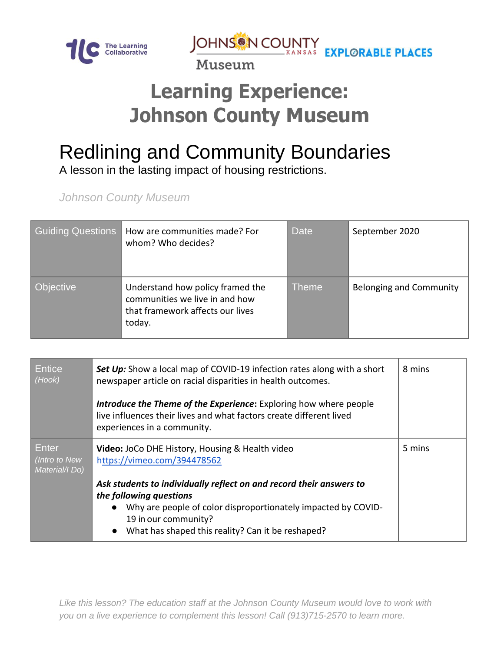

JOHNS IN COUNTY<br>MUSSIM

Museum

## **Learning Experience: Johnson County Museum**

## Redlining and Community Boundaries

A lesson in the lasting impact of housing restrictions.

*Johnson County Museum*

| <b>Guiding Questions</b> | How are communities made? For<br>whom? Who decides?                                                              | <b>Date</b>  | September 2020                 |
|--------------------------|------------------------------------------------------------------------------------------------------------------|--------------|--------------------------------|
| <b>Objective</b>         | Understand how policy framed the<br>communities we live in and how<br>that framework affects our lives<br>today. | <b>Theme</b> | <b>Belonging and Community</b> |

| Entice<br>(Hook)                         | Set Up: Show a local map of COVID-19 infection rates along with a short<br>newspaper article on racial disparities in health outcomes.<br><b>Introduce the Theme of the Experience:</b> Exploring how where people<br>live influences their lives and what factors create different lived<br>experiences in a community. | 8 mins |
|------------------------------------------|--------------------------------------------------------------------------------------------------------------------------------------------------------------------------------------------------------------------------------------------------------------------------------------------------------------------------|--------|
| Enter<br>(Intro to New<br>Material/I Do) | Video: JoCo DHE History, Housing & Health video<br>https://vimeo.com/394478562                                                                                                                                                                                                                                           | 5 mins |
|                                          | Ask students to individually reflect on and record their answers to<br>the following questions<br>Why are people of color disproportionately impacted by COVID-<br>19 in our community?<br>What has shaped this reality? Can it be reshaped?                                                                             |        |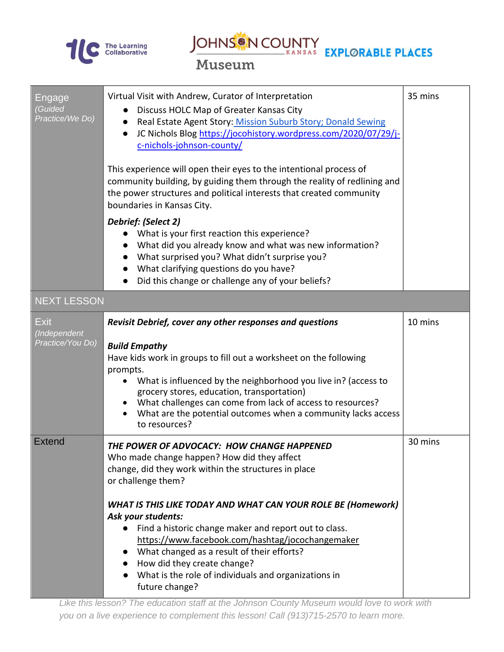

JOHNS N COUNTY<br>MILLOCALLY EXPLORABLE PLACES

Museum

| Engage<br><b>Guided</b><br>Practice/We Do)      | Virtual Visit with Andrew, Curator of Interpretation<br>Discuss HOLC Map of Greater Kansas City<br>Real Estate Agent Story: Mission Suburb Story; Donald Sewing<br>JC Nichols Blog https://jocohistory.wordpress.com/2020/07/29/j-<br>$\bullet$<br>c-nichols-johnson-county/<br>This experience will open their eyes to the intentional process of<br>community building, by guiding them through the reality of redlining and<br>the power structures and political interests that created community                                                 | 35 mins |
|-------------------------------------------------|-------------------------------------------------------------------------------------------------------------------------------------------------------------------------------------------------------------------------------------------------------------------------------------------------------------------------------------------------------------------------------------------------------------------------------------------------------------------------------------------------------------------------------------------------------|---------|
|                                                 | boundaries in Kansas City.<br>Debrief: (Select 2)<br>What is your first reaction this experience?<br>What did you already know and what was new information?<br>• What surprised you? What didn't surprise you?<br>What clarifying questions do you have?<br>Did this change or challenge any of your beliefs?                                                                                                                                                                                                                                        |         |
| <b>NEXT LESSON</b>                              |                                                                                                                                                                                                                                                                                                                                                                                                                                                                                                                                                       |         |
| <b>Exit</b><br>(Independent<br>Practice/You Do) | Revisit Debrief, cover any other responses and questions<br><b>Build Empathy</b><br>Have kids work in groups to fill out a worksheet on the following<br>prompts.<br>What is influenced by the neighborhood you live in? (access to<br>grocery stores, education, transportation)<br>What challenges can come from lack of access to resources?<br>What are the potential outcomes when a community lacks access<br>to resources?                                                                                                                     | 10 mins |
| Extend                                          | THE POWER OF ADVOCACY: HOW CHANGE HAPPENED<br>Who made change happen? How did they affect<br>change, did they work within the structures in place<br>or challenge them?<br><b>WHAT IS THIS LIKE TODAY AND WHAT CAN YOUR ROLE BE (Homework)</b><br>Ask your students:<br>Find a historic change maker and report out to class.<br>https://www.facebook.com/hashtag/jocochangemaker<br>What changed as a result of their efforts?<br>How did they create change?<br>$\bullet$<br>What is the role of individuals and organizations in<br>future change? | 30 mins |

*Like this lesson? The education staff at the Johnson County Museum would love to work with you on a live experience to complement this lesson! Call (913)715-2570 to learn more.*